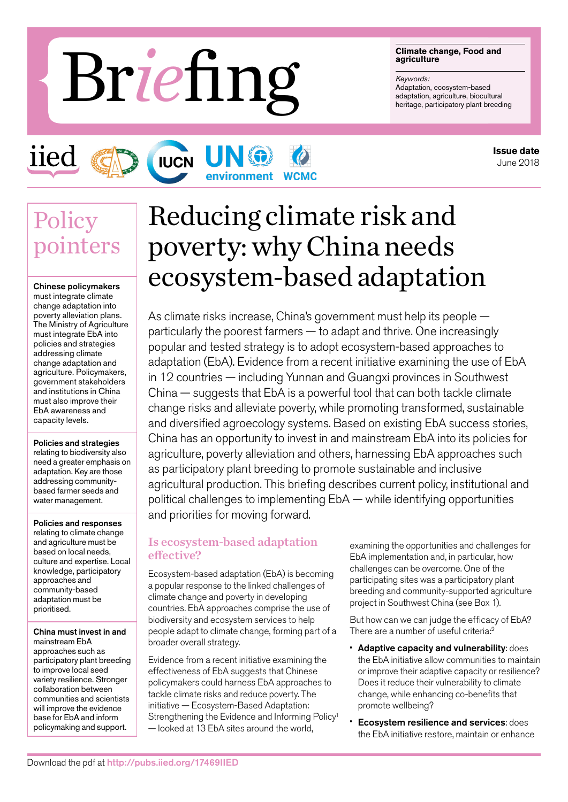#### **Climate change, Food and agriculture**

*Keywords:* Adaptation, ecosystem-based<br>adaptation, agriculture, biocultural Friedly Representing **Briggers (School and agriculture**)<br>Adaptation, agriculture, biocultural<br>Magnathion, agriculture, biocultural<br>Magnathion, agriculture, participatory plant breeding

**Policy** 

iied

pointers

Chinese policymakers must integrate climate change adaptation into poverty alleviation plans. The Ministry of Agriculture must integrate EbA into policies and strategies addressing climate change adaptation and agriculture. Policymakers, government stakeholders and institutions in China must also improve their EbA awareness and capacity levels.

#### Policies and strategies

relating to biodiversity also need a greater emphasis on adaptation. Key are those addressing communitybased farmer seeds and water management.

Policies and responses relating to climate change and agriculture must be based on local needs, culture and expertise. Local knowledge, participatory approaches and community-based adaptation must be prioritised.

China must invest in and mainstream EbA approaches such as participatory plant breeding to improve local seed variety resilience. Stronger collaboration between communities and scientists will improve the evidence base for EbA and inform policymaking and support.

# Reducing climate risk and poverty: why China needs ecosystem-based adaptation

As climate risks increase, China's government must help its people particularly the poorest farmers — to adapt and thrive. One increasingly popular and tested strategy is to adopt ecosystem-based approaches to adaptation (EbA). Evidence from a recent initiative examining the use of EbA in 12 countries — including Yunnan and Guangxi provinces in Southwest China — suggests that EbA is a powerful tool that can both tackle climate change risks and alleviate poverty, while promoting transformed, sustainable and diversified agroecology systems. Based on existing EbA success stories, China has an opportunity to invest in and mainstream EbA into its policies for agriculture, poverty alleviation and others, harnessing EbA approaches such as participatory plant breeding to promote sustainable and inclusive agricultural production. This briefing describes current policy, institutional and political challenges to implementing EbA — while identifying opportunities and priorities for moving forward.

### Is ecosystem-based adaptation effective?

UN 6

**IUCN** 

Ecosystem-based adaptation (EbA) is becoming a popular response to the linked challenges of climate change and poverty in developing countries. EbA approaches comprise the use of biodiversity and ecosystem services to help people adapt to climate change, forming part of a broader overall strategy.

Evidence from a recent initiative examining the effectiveness of EbA suggests that Chinese policymakers could harness EbA approaches to tackle climate risks and reduce poverty. The initiative — Ecosystem-Based Adaptation: Strengthening the Evidence and Informing Policy<sup>1</sup> — looked at 13 EbA sites around the world,

examining the opportunities and challenges for EbA implementation and, in particular, how challenges can be overcome. One of the participating sites was a participatory plant breeding and community-supported agriculture project in Southwest China (see Box 1).

But how can we can judge the efficacy of EbA? There are a number of useful criteria:<sup>2</sup>

- Adaptive capacity and vulnerability: does the EbA initiative allow communities to maintain or improve their adaptive capacity or resilience? Does it reduce their vulnerability to climate change, while enhancing co-benefits that promote wellbeing?
- **Ecosystem resilience and services: does** the EbA initiative restore, maintain or enhance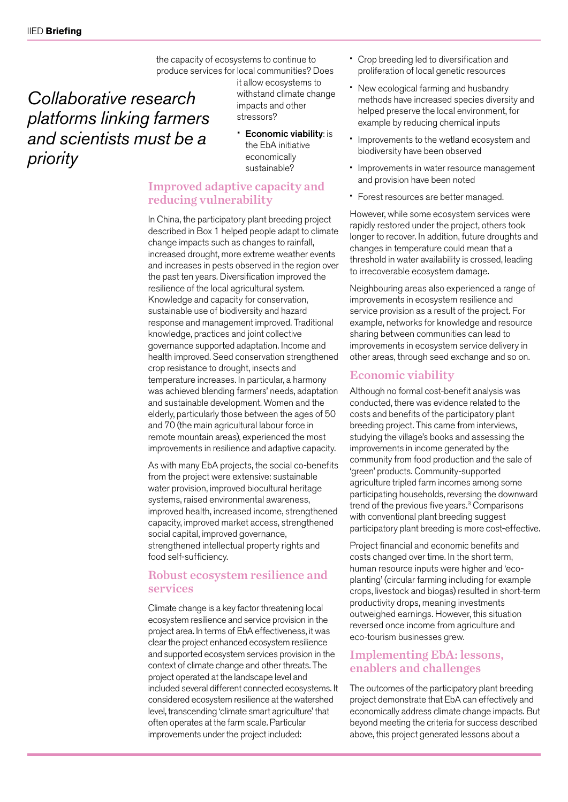the capacity of ecosystems to continue to produce services for local communities? Does

*Collaborative research platforms linking farmers and scientists must be a priority*

it allow ecosystems to withstand climate change impacts and other stressors?

• Economic viability: is the EbA initiative economically sustainable?

## Improved adaptive capacity and reducing vulnerability

In China, the participatory plant breeding project described in Box 1 helped people adapt to climate change impacts such as changes to rainfall, increased drought, more extreme weather events and increases in pests observed in the region over the past ten years. Diversification improved the resilience of the local agricultural system. Knowledge and capacity for conservation, sustainable use of biodiversity and hazard response and management improved. Traditional knowledge, practices and joint collective governance supported adaptation. Income and health improved. Seed conservation strengthened crop resistance to drought, insects and temperature increases. In particular, a harmony was achieved blending farmers' needs, adaptation and sustainable development. Women and the elderly, particularly those between the ages of 50 and 70 (the main agricultural labour force in remote mountain areas), experienced the most improvements in resilience and adaptive capacity.

As with many EbA projects, the social co-benefits from the project were extensive: sustainable water provision, improved biocultural heritage systems, raised environmental awareness, improved health, increased income, strengthened capacity, improved market access, strengthened social capital, improved governance, strengthened intellectual property rights and food self-sufficiency.

### Robust ecosystem resilience and services

Climate change is a key factor threatening local ecosystem resilience and service provision in the project area. In terms of EbA effectiveness, it was clear the project enhanced ecosystem resilience and supported ecosystem services provision in the context of climate change and other threats. The project operated at the landscape level and included several different connected ecosystems. It considered ecosystem resilience at the watershed level, transcending 'climate smart agriculture' that often operates at the farm scale. Particular improvements under the project included:

- Crop breeding led to diversification and proliferation of local genetic resources
- New ecological farming and husbandry methods have increased species diversity and helped preserve the local environment, for example by reducing chemical inputs
- Improvements to the wetland ecosystem and biodiversity have been observed
- Improvements in water resource management and provision have been noted
- Forest resources are better managed.

However, while some ecosystem services were rapidly restored under the project, others took longer to recover. In addition, future droughts and changes in temperature could mean that a threshold in water availability is crossed, leading to irrecoverable ecosystem damage.

Neighbouring areas also experienced a range of improvements in ecosystem resilience and service provision as a result of the project. For example, networks for knowledge and resource sharing between communities can lead to improvements in ecosystem service delivery in other areas, through seed exchange and so on.

## Economic viability

Although no formal cost-benefit analysis was conducted, there was evidence related to the costs and benefits of the participatory plant breeding project. This came from interviews, studying the village's books and assessing the improvements in income generated by the community from food production and the sale of 'green' products. Community-supported agriculture tripled farm incomes among some participating households, reversing the downward trend of the previous five years.<sup>3</sup> Comparisons with conventional plant breeding suggest participatory plant breeding is more cost-effective.

Project financial and economic benefits and costs changed over time. In the short term, human resource inputs were higher and 'ecoplanting' (circular farming including for example crops, livestock and biogas) resulted in short-term productivity drops, meaning investments outweighed earnings. However, this situation reversed once income from agriculture and eco-tourism businesses grew.

## Implementing EbA: lessons, enablers and challenges

The outcomes of the participatory plant breeding project demonstrate that EbA can effectively and economically address climate change impacts. But beyond meeting the criteria for success described above, this project generated lessons about a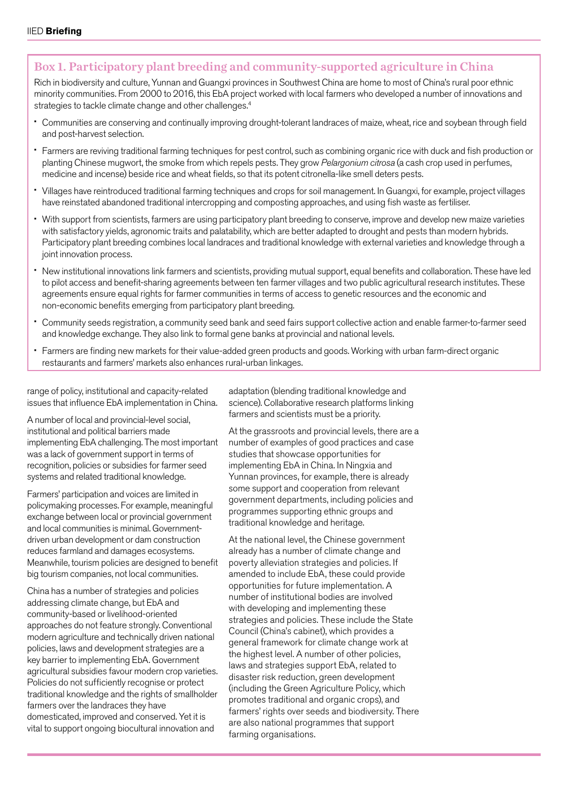## Box 1. Participatory plant breeding and community-supported agriculture in China

Rich in biodiversity and culture, Yunnan and Guangxi provinces in Southwest China are home to most of China's rural poor ethnic minority communities. From 2000 to 2016, this EbA project worked with local farmers who developed a number of innovations and strategies to tackle climate change and other challenges.<sup>4</sup>

- Communities are conserving and continually improving drought-tolerant landraces of maize, wheat, rice and soybean through field and post-harvest selection.
- Farmers are reviving traditional farming techniques for pest control, such as combining organic rice with duck and fish production or planting Chinese mugwort, the smoke from which repels pests. They grow *Pelargonium citrosa* (a cash crop used in perfumes, medicine and incense) beside rice and wheat fields, so that its potent citronella-like smell deters pests.
- Villages have reintroduced traditional farming techniques and crops for soil management. In Guangxi, for example, project villages have reinstated abandoned traditional intercropping and composting approaches, and using fish waste as fertiliser.
- With support from scientists, farmers are using participatory plant breeding to conserve, improve and develop new maize varieties with satisfactory yields, agronomic traits and palatability, which are better adapted to drought and pests than modern hybrids. Participatory plant breeding combines local landraces and traditional knowledge with external varieties and knowledge through a joint innovation process.
- New institutional innovations link farmers and scientists, providing mutual support, equal benefits and collaboration. These have led to pilot access and benefit-sharing agreements between ten farmer villages and two public agricultural research institutes. These agreements ensure equal rights for farmer communities in terms of access to genetic resources and the economic and non-economic benefits emerging from participatory plant breeding.
- Community seeds registration, a community seed bank and seed fairs support collective action and enable farmer-to-farmer seed and knowledge exchange. They also link to formal gene banks at provincial and national levels.
- Farmers are finding new markets for their value-added green products and goods. Working with urban farm-direct organic restaurants and farmers' markets also enhances rural-urban linkages.

range of policy, institutional and capacity-related issues that influence EbA implementation in China.

A number of local and provincial-level social, institutional and political barriers made implementing EbA challenging. The most important was a lack of government support in terms of recognition, policies or subsidies for farmer seed systems and related traditional knowledge.

Farmers' participation and voices are limited in policymaking processes. For example, meaningful exchange between local or provincial government and local communities is minimal. Governmentdriven urban development or dam construction reduces farmland and damages ecosystems. Meanwhile, tourism policies are designed to benefit big tourism companies, not local communities.

China has a number of strategies and policies addressing climate change, but EbA and community-based or livelihood-oriented approaches do not feature strongly. Conventional modern agriculture and technically driven national policies, laws and development strategies are a key barrier to implementing EbA. Government agricultural subsidies favour modern crop varieties. Policies do not sufficiently recognise or protect traditional knowledge and the rights of smallholder farmers over the landraces they have domesticated, improved and conserved. Yet it is vital to support ongoing biocultural innovation and

adaptation (blending traditional knowledge and science). Collaborative research platforms linking farmers and scientists must be a priority.

At the grassroots and provincial levels, there are a number of examples of good practices and case studies that showcase opportunities for implementing EbA in China. In Ningxia and Yunnan provinces, for example, there is already some support and cooperation from relevant government departments, including policies and programmes supporting ethnic groups and traditional knowledge and heritage.

At the national level, the Chinese government already has a number of climate change and poverty alleviation strategies and policies. If amended to include EbA, these could provide opportunities for future implementation. A number of institutional bodies are involved with developing and implementing these strategies and policies. These include the State Council (China's cabinet), which provides a general framework for climate change work at the highest level. A number of other policies, laws and strategies support EbA, related to disaster risk reduction, green development (including the Green Agriculture Policy, which promotes traditional and organic crops), and farmers' rights over seeds and biodiversity. There are also national programmes that support farming organisations.